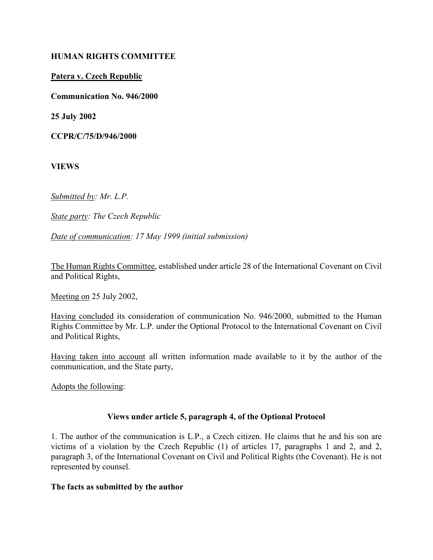#### HUMAN RIGHTS COMMITTEE

## Patera v. Czech Republic

Communication No. 946/2000

25 July 2002

CCPR/C/75/D/946/2000

VIEWS

Submitted by: Mr. L.P.

State party: The Czech Republic

Date of communication: 17 May 1999 (initial submission)

The Human Rights Committee, established under article 28 of the International Covenant on Civil and Political Rights,

Meeting on 25 July 2002,

Having concluded its consideration of communication No. 946/2000, submitted to the Human Rights Committee by Mr. L.P. under the Optional Protocol to the International Covenant on Civil and Political Rights,

Having taken into account all written information made available to it by the author of the communication, and the State party,

Adopts the following:

## Views under article 5, paragraph 4, of the Optional Protocol

1. The author of the communication is L.P., a Czech citizen. He claims that he and his son are victims of a violation by the Czech Republic (1) of articles 17, paragraphs 1 and 2, and 2, paragraph 3, of the International Covenant on Civil and Political Rights (the Covenant). He is not represented by counsel.

#### The facts as submitted by the author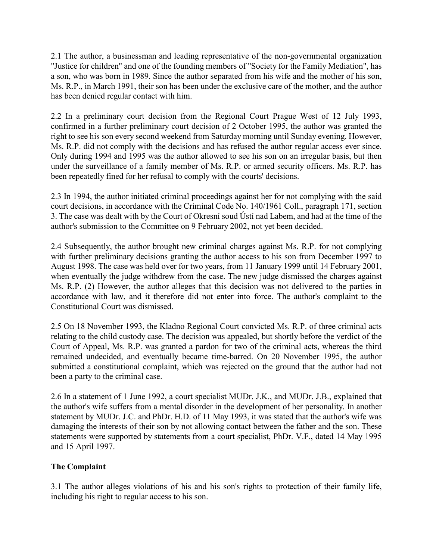2.1 The author, a businessman and leading representative of the non-governmental organization "Justice for children" and one of the founding members of "Society for the Family Mediation", has a son, who was born in 1989. Since the author separated from his wife and the mother of his son, Ms. R.P., in March 1991, their son has been under the exclusive care of the mother, and the author has been denied regular contact with him.

2.2 In a preliminary court decision from the Regional Court Prague West of 12 July 1993, confirmed in a further preliminary court decision of 2 October 1995, the author was granted the right to see his son every second weekend from Saturday morning until Sunday evening. However, Ms. R.P. did not comply with the decisions and has refused the author regular access ever since. Only during 1994 and 1995 was the author allowed to see his son on an irregular basis, but then under the surveillance of a family member of Ms. R.P. or armed security officers. Ms. R.P. has been repeatedly fined for her refusal to comply with the courts' decisions.

2.3 In 1994, the author initiated criminal proceedings against her for not complying with the said court decisions, in accordance with the Criminal Code No. 140/1961 Coll., paragraph 171, section 3. The case was dealt with by the Court of Okresní soud Ústí nad Labem, and had at the time of the author's submission to the Committee on 9 February 2002, not yet been decided.

2.4 Subsequently, the author brought new criminal charges against Ms. R.P. for not complying with further preliminary decisions granting the author access to his son from December 1997 to August 1998. The case was held over for two years, from 11 January 1999 until 14 February 2001, when eventually the judge withdrew from the case. The new judge dismissed the charges against Ms. R.P. (2) However, the author alleges that this decision was not delivered to the parties in accordance with law, and it therefore did not enter into force. The author's complaint to the Constitutional Court was dismissed.

2.5 On 18 November 1993, the Kladno Regional Court convicted Ms. R.P. of three criminal acts relating to the child custody case. The decision was appealed, but shortly before the verdict of the Court of Appeal, Ms. R.P. was granted a pardon for two of the criminal acts, whereas the third remained undecided, and eventually became time-barred. On 20 November 1995, the author submitted a constitutional complaint, which was rejected on the ground that the author had not been a party to the criminal case.

2.6 In a statement of 1 June 1992, a court specialist MUDr. J.K., and MUDr. J.B., explained that the author's wife suffers from a mental disorder in the development of her personality. In another statement by MUDr. J.C. and PhDr. H.D. of 11 May 1993, it was stated that the author's wife was damaging the interests of their son by not allowing contact between the father and the son. These statements were supported by statements from a court specialist, PhDr. V.F., dated 14 May 1995 and 15 April 1997.

# The Complaint

3.1 The author alleges violations of his and his son's rights to protection of their family life, including his right to regular access to his son.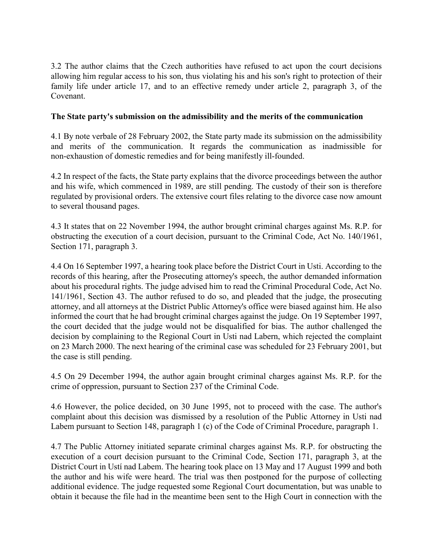3.2 The author claims that the Czech authorities have refused to act upon the court decisions allowing him regular access to his son, thus violating his and his son's right to protection of their family life under article 17, and to an effective remedy under article 2, paragraph 3, of the Covenant.

## The State party's submission on the admissibility and the merits of the communication

4.1 By note verbale of 28 February 2002, the State party made its submission on the admissibility and merits of the communication. It regards the communication as inadmissible for non-exhaustion of domestic remedies and for being manifestly ill-founded.

4.2 In respect of the facts, the State party explains that the divorce proceedings between the author and his wife, which commenced in 1989, are still pending. The custody of their son is therefore regulated by provisional orders. The extensive court files relating to the divorce case now amount to several thousand pages.

4.3 It states that on 22 November 1994, the author brought criminal charges against Ms. R.P. for obstructing the execution of a court decision, pursuant to the Criminal Code, Act No. 140/1961, Section 171, paragraph 3.

4.4 On 16 September 1997, a hearing took place before the District Court in Usti. According to the records of this hearing, after the Prosecuting attorney's speech, the author demanded information about his procedural rights. The judge advised him to read the Criminal Procedural Code, Act No. 141/1961, Section 43. The author refused to do so, and pleaded that the judge, the prosecuting attorney, and all attorneys at the District Public Attorney's office were biased against him. He also informed the court that he had brought criminal charges against the judge. On 19 September 1997, the court decided that the judge would not be disqualified for bias. The author challenged the decision by complaining to the Regional Court in Usti nad Labern, which rejected the complaint on 23 March 2000. The next hearing of the criminal case was scheduled for 23 February 2001, but the case is still pending.

4.5 On 29 December 1994, the author again brought criminal charges against Ms. R.P. for the crime of oppression, pursuant to Section 237 of the Criminal Code.

4.6 However, the police decided, on 30 June 1995, not to proceed with the case. The author's complaint about this decision was dismissed by a resolution of the Public Attorney in Usti nad Labem pursuant to Section 148, paragraph 1 (c) of the Code of Criminal Procedure, paragraph 1.

4.7 The Public Attorney initiated separate criminal charges against Ms. R.P. for obstructing the execution of a court decision pursuant to the Criminal Code, Section 171, paragraph 3, at the District Court in Ustí nad Labem. The hearing took place on 13 May and 17 August 1999 and both the author and his wife were heard. The trial was then postponed for the purpose of collecting additional evidence. The judge requested some Regional Court documentation, but was unable to obtain it because the file had in the meantime been sent to the High Court in connection with the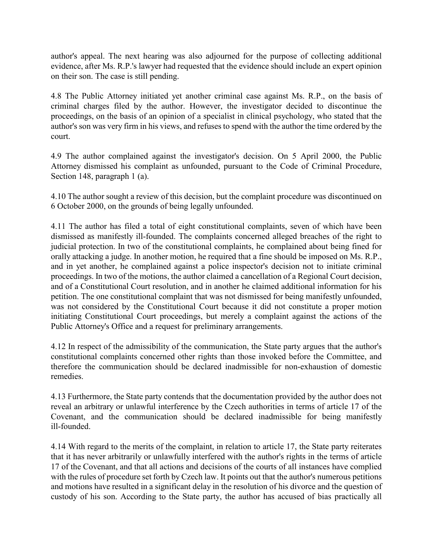author's appeal. The next hearing was also adjourned for the purpose of collecting additional evidence, after Ms. R.P.'s lawyer had requested that the evidence should include an expert opinion on their son. The case is still pending.

4.8 The Public Attorney initiated yet another criminal case against Ms. R.P., on the basis of criminal charges filed by the author. However, the investigator decided to discontinue the proceedings, on the basis of an opinion of a specialist in clinical psychology, who stated that the author's son was very firm in his views, and refuses to spend with the author the time ordered by the court.

4.9 The author complained against the investigator's decision. On 5 April 2000, the Public Attorney dismissed his complaint as unfounded, pursuant to the Code of Criminal Procedure, Section 148, paragraph 1 (a).

4.10 The author sought a review of this decision, but the complaint procedure was discontinued on 6 October 2000, on the grounds of being legally unfounded.

4.11 The author has filed a total of eight constitutional complaints, seven of which have been dismissed as manifestly ill-founded. The complaints concerned alleged breaches of the right to judicial protection. In two of the constitutional complaints, he complained about being fined for orally attacking a judge. In another motion, he required that a fine should be imposed on Ms. R.P., and in yet another, he complained against a police inspector's decision not to initiate criminal proceedings. In two of the motions, the author claimed a cancellation of a Regional Court decision, and of a Constitutional Court resolution, and in another he claimed additional information for his petition. The one constitutional complaint that was not dismissed for being manifestly unfounded, was not considered by the Constitutional Court because it did not constitute a proper motion initiating Constitutional Court proceedings, but merely a complaint against the actions of the Public Attorney's Office and a request for preliminary arrangements.

4.12 In respect of the admissibility of the communication, the State party argues that the author's constitutional complaints concerned other rights than those invoked before the Committee, and therefore the communication should be declared inadmissible for non-exhaustion of domestic remedies.

4.13 Furthermore, the State party contends that the documentation provided by the author does not reveal an arbitrary or unlawful interference by the Czech authorities in terms of article 17 of the Covenant, and the communication should be declared inadmissible for being manifestly ill-founded.

4.14 With regard to the merits of the complaint, in relation to article 17, the State party reiterates that it has never arbitrarily or unlawfully interfered with the author's rights in the terms of article 17 of the Covenant, and that all actions and decisions of the courts of all instances have complied with the rules of procedure set forth by Czech law. It points out that the author's numerous petitions and motions have resulted in a significant delay in the resolution of his divorce and the question of custody of his son. According to the State party, the author has accused of bias practically all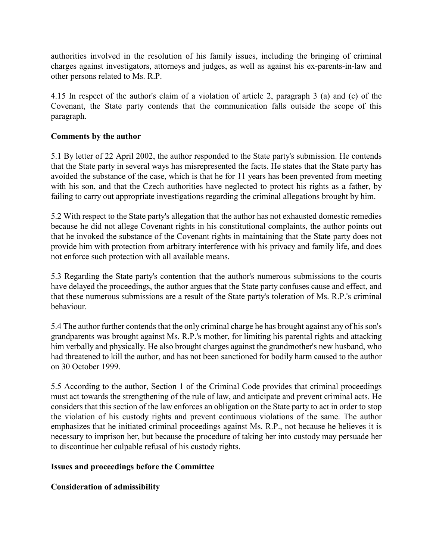authorities involved in the resolution of his family issues, including the bringing of criminal charges against investigators, attorneys and judges, as well as against his ex-parents-in-law and other persons related to Ms. R.P.

4.15 In respect of the author's claim of a violation of article 2, paragraph 3 (a) and (c) of the Covenant, the State party contends that the communication falls outside the scope of this paragraph.

## Comments by the author

5.1 By letter of 22 April 2002, the author responded to the State party's submission. He contends that the State party in several ways has misrepresented the facts. He states that the State party has avoided the substance of the case, which is that he for 11 years has been prevented from meeting with his son, and that the Czech authorities have neglected to protect his rights as a father, by failing to carry out appropriate investigations regarding the criminal allegations brought by him.

5.2 With respect to the State party's allegation that the author has not exhausted domestic remedies because he did not allege Covenant rights in his constitutional complaints, the author points out that he invoked the substance of the Covenant rights in maintaining that the State party does not provide him with protection from arbitrary interference with his privacy and family life, and does not enforce such protection with all available means.

5.3 Regarding the State party's contention that the author's numerous submissions to the courts have delayed the proceedings, the author argues that the State party confuses cause and effect, and that these numerous submissions are a result of the State party's toleration of Ms. R.P.'s criminal behaviour.

5.4 The author further contends that the only criminal charge he has brought against any of his son's grandparents was brought against Ms. R.P.'s mother, for limiting his parental rights and attacking him verbally and physically. He also brought charges against the grandmother's new husband, who had threatened to kill the author, and has not been sanctioned for bodily harm caused to the author on 30 October 1999.

5.5 According to the author, Section 1 of the Criminal Code provides that criminal proceedings must act towards the strengthening of the rule of law, and anticipate and prevent criminal acts. He considers that this section of the law enforces an obligation on the State party to act in order to stop the violation of his custody rights and prevent continuous violations of the same. The author emphasizes that he initiated criminal proceedings against Ms. R.P., not because he believes it is necessary to imprison her, but because the procedure of taking her into custody may persuade her to discontinue her culpable refusal of his custody rights.

## Issues and proceedings before the Committee

## Consideration of admissibility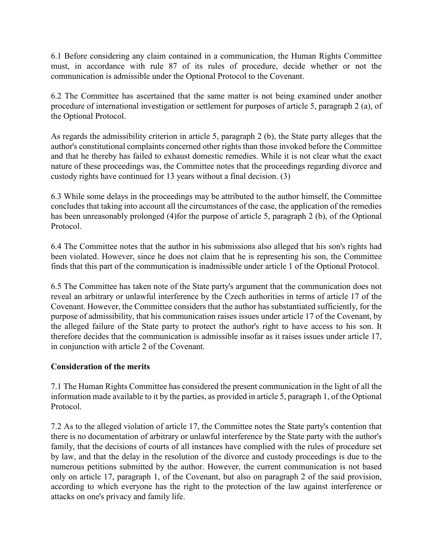6.1 Before considering any claim contained in a communication, the Human Rights Committee must, in accordance with rule 87 of its rules of procedure, decide whether or not the communication is admissible under the Optional Protocol to the Covenant.

6.2 The Committee has ascertained that the same matter is not being examined under another procedure of international investigation or settlement for purposes of article 5, paragraph 2 (a), of the Optional Protocol.

As regards the admissibility criterion in article 5, paragraph 2 (b), the State party alleges that the author's constitutional complaints concerned other rights than those invoked before the Committee and that he thereby has failed to exhaust domestic remedies. While it is not clear what the exact nature of these proceedings was, the Committee notes that the proceedings regarding divorce and custody rights have continued for 13 years without a final decision. (3)

6.3 While some delays in the proceedings may be attributed to the author himself, the Committee concludes that taking into account all the circumstances of the case, the application of the remedies has been unreasonably prolonged (4)for the purpose of article 5, paragraph 2 (b), of the Optional Protocol.

6.4 The Committee notes that the author in his submissions also alleged that his son's rights had been violated. However, since he does not claim that he is representing his son, the Committee finds that this part of the communication is inadmissible under article 1 of the Optional Protocol.

6.5 The Committee has taken note of the State party's argument that the communication does not reveal an arbitrary or unlawful interference by the Czech authorities in terms of article 17 of the Covenant. However, the Committee considers that the author has substantiated sufficiently, for the purpose of admissibility, that his communication raises issues under article 17 of the Covenant, by the alleged failure of the State party to protect the author's right to have access to his son. It therefore decides that the communication is admissible insofar as it raises issues under article 17, in conjunction with article 2 of the Covenant.

## Consideration of the merits

7.1 The Human Rights Committee has considered the present communication in the light of all the information made available to it by the parties, as provided in article 5, paragraph 1, of the Optional Protocol.

7.2 As to the alleged violation of article 17, the Committee notes the State party's contention that there is no documentation of arbitrary or unlawful interference by the State party with the author's family, that the decisions of courts of all instances have complied with the rules of procedure set by law, and that the delay in the resolution of the divorce and custody proceedings is due to the numerous petitions submitted by the author. However, the current communication is not based only on article 17, paragraph 1, of the Covenant, but also on paragraph 2 of the said provision, according to which everyone has the right to the protection of the law against interference or attacks on one's privacy and family life.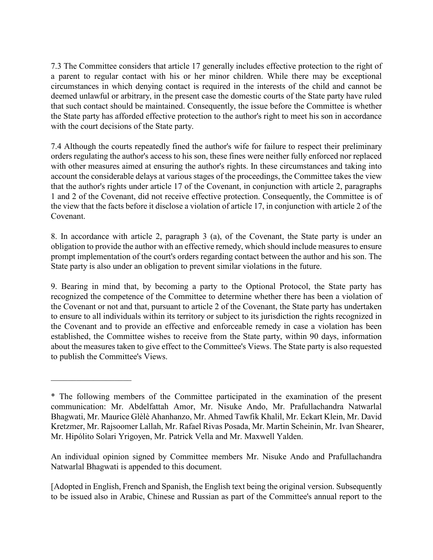7.3 The Committee considers that article 17 generally includes effective protection to the right of a parent to regular contact with his or her minor children. While there may be exceptional circumstances in which denying contact is required in the interests of the child and cannot be deemed unlawful or arbitrary, in the present case the domestic courts of the State party have ruled that such contact should be maintained. Consequently, the issue before the Committee is whether the State party has afforded effective protection to the author's right to meet his son in accordance with the court decisions of the State party.

7.4 Although the courts repeatedly fined the author's wife for failure to respect their preliminary orders regulating the author's access to his son, these fines were neither fully enforced nor replaced with other measures aimed at ensuring the author's rights. In these circumstances and taking into account the considerable delays at various stages of the proceedings, the Committee takes the view that the author's rights under article 17 of the Covenant, in conjunction with article 2, paragraphs 1 and 2 of the Covenant, did not receive effective protection. Consequently, the Committee is of the view that the facts before it disclose a violation of article 17, in conjunction with article 2 of the Covenant.

8. In accordance with article 2, paragraph 3 (a), of the Covenant, the State party is under an obligation to provide the author with an effective remedy, which should include measures to ensure prompt implementation of the court's orders regarding contact between the author and his son. The State party is also under an obligation to prevent similar violations in the future.

9. Bearing in mind that, by becoming a party to the Optional Protocol, the State party has recognized the competence of the Committee to determine whether there has been a violation of the Covenant or not and that, pursuant to article 2 of the Covenant, the State party has undertaken to ensure to all individuals within its territory or subject to its jurisdiction the rights recognized in the Covenant and to provide an effective and enforceable remedy in case a violation has been established, the Committee wishes to receive from the State party, within 90 days, information about the measures taken to give effect to the Committee's Views. The State party is also requested to publish the Committee's Views.

\_\_\_\_\_\_\_\_\_\_\_\_\_\_\_\_\_\_\_

An individual opinion signed by Committee members Mr. Nisuke Ando and Prafullachandra Natwarlal Bhagwati is appended to this document.

[Adopted in English, French and Spanish, the English text being the original version. Subsequently to be issued also in Arabic, Chinese and Russian as part of the Committee's annual report to the

<sup>\*</sup> The following members of the Committee participated in the examination of the present communication: Mr. Abdelfattah Amor, Mr. Nisuke Ando, Mr. Prafullachandra Natwarlal Bhagwati, Mr. Maurice Glèlè Ahanhanzo, Mr. Ahmed Tawfik Khalil, Mr. Eckart Klein, Mr. David Kretzmer, Mr. Rajsoomer Lallah, Mr. Rafael Rivas Posada, Mr. Martin Scheinin, Mr. Ivan Shearer, Mr. Hipólito Solari Yrigoyen, Mr. Patrick Vella and Mr. Maxwell Yalden.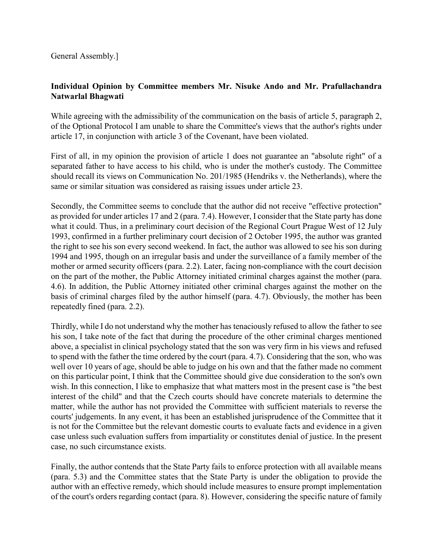## Individual Opinion by Committee members Mr. Nisuke Ando and Mr. Prafullachandra Natwarlal Bhagwati

While agreeing with the admissibility of the communication on the basis of article 5, paragraph 2, of the Optional Protocol I am unable to share the Committee's views that the author's rights under article 17, in conjunction with article 3 of the Covenant, have been violated.

First of all, in my opinion the provision of article 1 does not guarantee an "absolute right" of a separated father to have access to his child, who is under the mother's custody. The Committee should recall its views on Communication No. 201/1985 (Hendriks v. the Netherlands), where the same or similar situation was considered as raising issues under article 23.

Secondly, the Committee seems to conclude that the author did not receive "effective protection" as provided for under articles 17 and 2 (para. 7.4). However, I consider that the State party has done what it could. Thus, in a preliminary court decision of the Regional Court Prague West of 12 July 1993, confirmed in a further preliminary court decision of 2 October 1995, the author was granted the right to see his son every second weekend. In fact, the author was allowed to see his son during 1994 and 1995, though on an irregular basis and under the surveillance of a family member of the mother or armed security officers (para. 2.2). Later, facing non-compliance with the court decision on the part of the mother, the Public Attorney initiated criminal charges against the mother (para. 4.6). In addition, the Public Attorney initiated other criminal charges against the mother on the basis of criminal charges filed by the author himself (para. 4.7). Obviously, the mother has been repeatedly fined (para. 2.2).

Thirdly, while I do not understand why the mother has tenaciously refused to allow the father to see his son, I take note of the fact that during the procedure of the other criminal charges mentioned above, a specialist in clinical psychology stated that the son was very firm in his views and refused to spend with the father the time ordered by the court (para. 4.7). Considering that the son, who was well over 10 years of age, should be able to judge on his own and that the father made no comment on this particular point, I think that the Committee should give due consideration to the son's own wish. In this connection, I like to emphasize that what matters most in the present case is "the best interest of the child" and that the Czech courts should have concrete materials to determine the matter, while the author has not provided the Committee with sufficient materials to reverse the courts' judgements. In any event, it has been an established jurisprudence of the Committee that it is not for the Committee but the relevant domestic courts to evaluate facts and evidence in a given case unless such evaluation suffers from impartiality or constitutes denial of justice. In the present case, no such circumstance exists.

Finally, the author contends that the State Party fails to enforce protection with all available means (para. 5.3) and the Committee states that the State Party is under the obligation to provide the author with an effective remedy, which should include measures to ensure prompt implementation of the court's orders regarding contact (para. 8). However, considering the specific nature of family